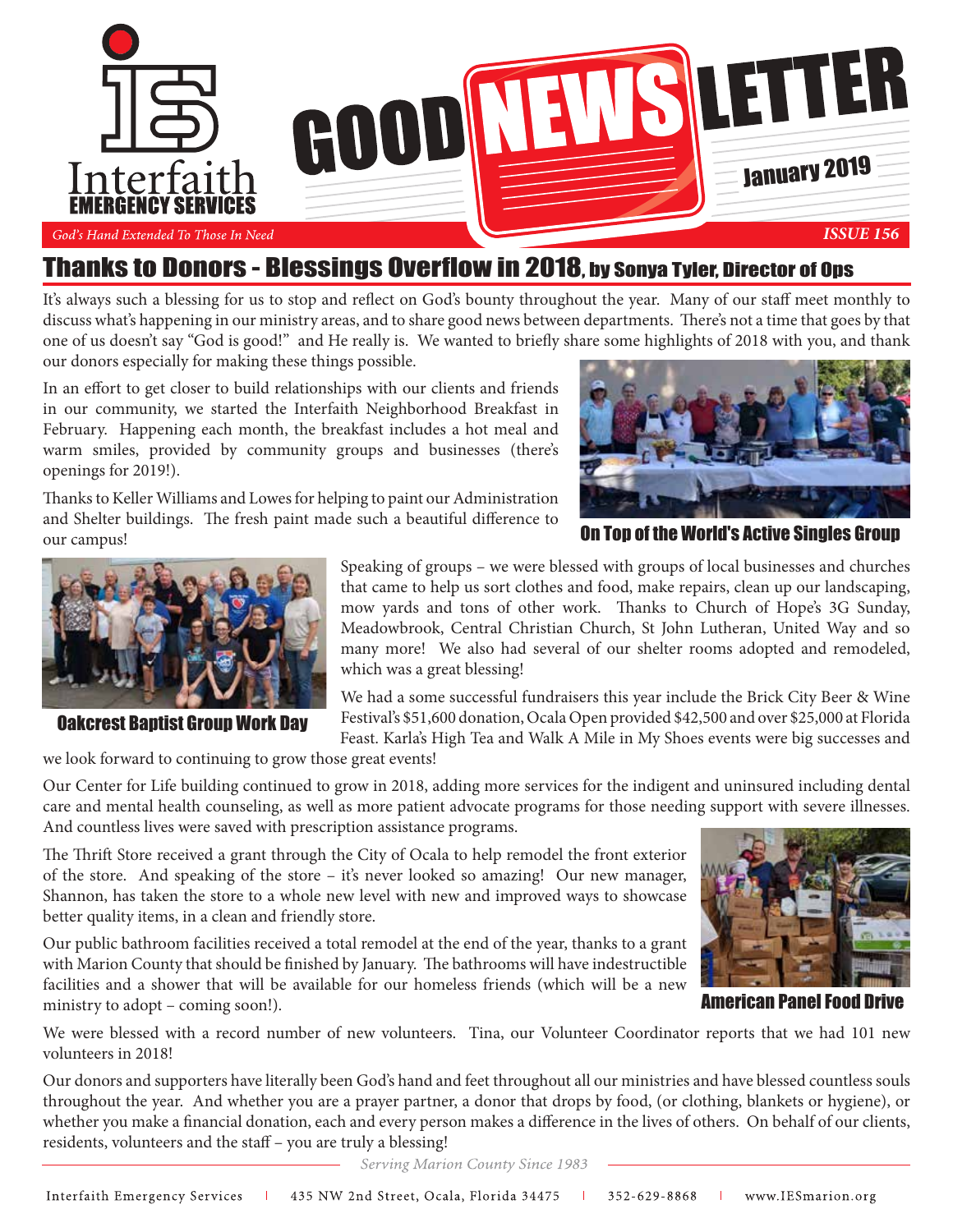

### Thanks to Donors - Blessings Overflow in 2018, by Sonya Tyler, Director of Ops

It's always such a blessing for us to stop and reflect on God's bounty throughout the year. Many of our staff meet monthly to discuss what's happening in our ministry areas, and to share good news between departments. There's not a time that goes by that one of us doesn't say "God is good!" and He really is. We wanted to briefly share some highlights of 2018 with you, and thank our donors especially for making these things possible.

In an effort to get closer to build relationships with our clients and friends in our community, we started the Interfaith Neighborhood Breakfast in February. Happening each month, the breakfast includes a hot meal and warm smiles, provided by community groups and businesses (there's openings for 2019!).

Thanks to Keller Williams and Lowes for helping to paint our Administration and Shelter buildings. The fresh paint made such a beautiful difference to our campus!



On Top of the World's Active Singles Group



Oakcrest Baptist Group Work Day

Speaking of groups – we were blessed with groups of local businesses and churches that came to help us sort clothes and food, make repairs, clean up our landscaping, mow yards and tons of other work. Thanks to Church of Hope's 3G Sunday, Meadowbrook, Central Christian Church, St John Lutheran, United Way and so many more! We also had several of our shelter rooms adopted and remodeled, which was a great blessing!

We had a some successful fundraisers this year include the Brick City Beer & Wine Festival's \$51,600 donation, Ocala Open provided \$42,500 and over \$25,000 at Florida Feast. Karla's High Tea and Walk A Mile in My Shoes events were big successes and

we look forward to continuing to grow those great events!

Our Center for Life building continued to grow in 2018, adding more services for the indigent and uninsured including dental care and mental health counseling, as well as more patient advocate programs for those needing support with severe illnesses. And countless lives were saved with prescription assistance programs.

The Thrift Store received a grant through the City of Ocala to help remodel the front exterior of the store. And speaking of the store – it's never looked so amazing! Our new manager, Shannon, has taken the store to a whole new level with new and improved ways to showcase better quality items, in a clean and friendly store.

Our public bathroom facilities received a total remodel at the end of the year, thanks to a grant with Marion County that should be finished by January. The bathrooms will have indestructible facilities and a shower that will be available for our homeless friends (which will be a new ministry to adopt – coming soon!).



**American Panel Food** 

We were blessed with a record number of new volunteers. Tina, our Volunteer Coordinator reports that we had 101 new volunteers in 2018!

Our donors and supporters have literally been God's hand and feet throughout all our ministries and have blessed countless souls throughout the year. And whether you are a prayer partner, a donor that drops by food, (or clothing, blankets or hygiene), or whether you make a financial donation, each and every person makes a difference in the lives of others. On behalf of our clients, residents, volunteers and the staff – you are truly a blessing!

Serving Marion County Since 1983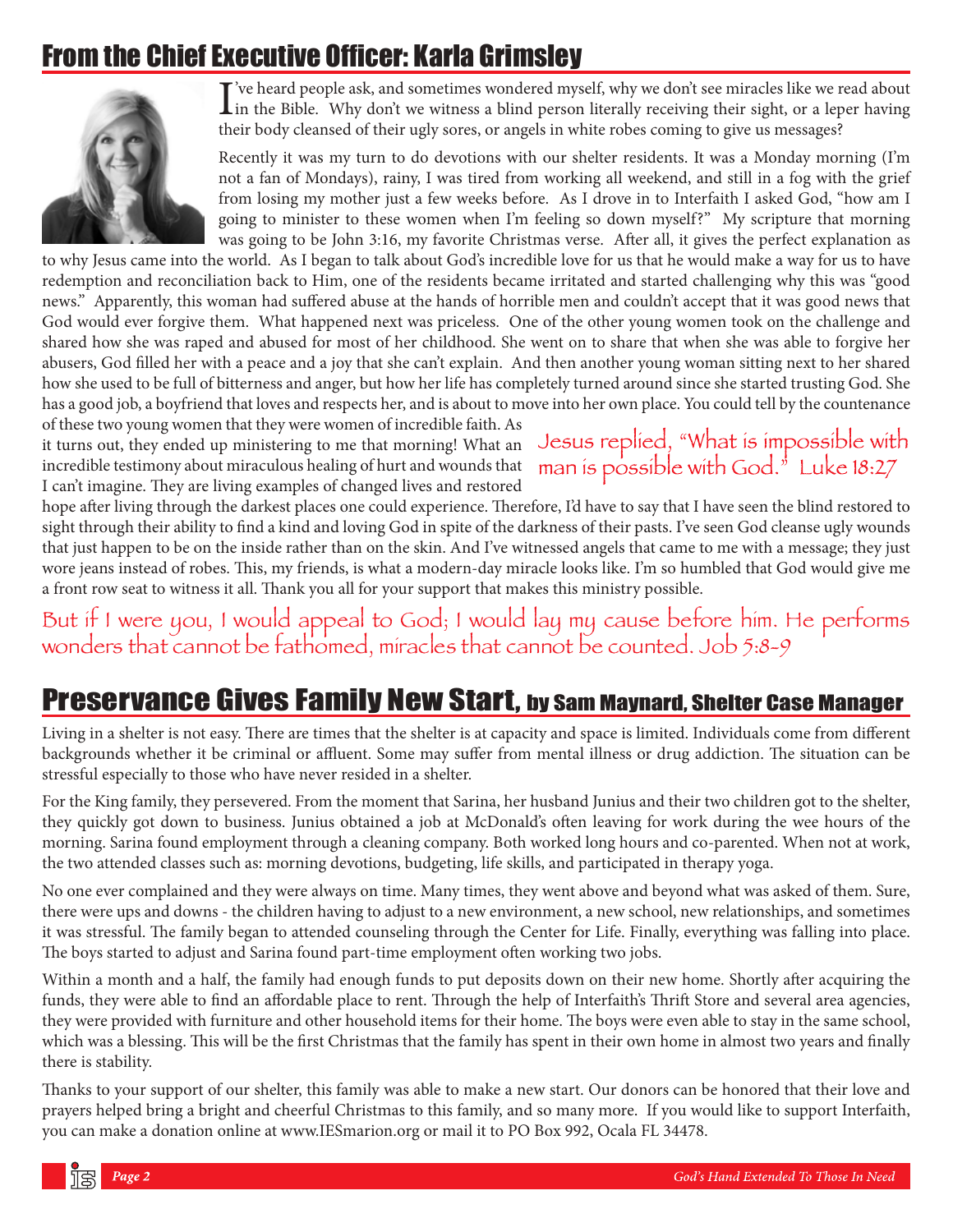# From the Chief Executive Officer: Karla Grimsley



I've heard people ask, and sometimes wondered myself, why we don't see miracles like we read about<br>in the Bible. Why don't we witness a blind person literally receiving their sight, or a leper having in the Bible. Why don't we witness a blind person literally receiving their sight, or a leper having their body cleansed of their ugly sores, or angels in white robes coming to give us messages?

Recently it was my turn to do devotions with our shelter residents. It was a Monday morning (I'm not a fan of Mondays), rainy, I was tired from working all weekend, and still in a fog with the grief from losing my mother just a few weeks before. As I drove in to Interfaith I asked God, "how am I going to minister to these women when I'm feeling so down myself?" My scripture that morning was going to be John 3:16, my favorite Christmas verse. After all, it gives the perfect explanation as

to why Jesus came into the world. As I began to talk about God's incredible love for us that he would make a way for us to have redemption and reconciliation back to Him, one of the residents became irritated and started challenging why this was "good news." Apparently, this woman had suffered abuse at the hands of horrible men and couldn't accept that it was good news that God would ever forgive them. What happened next was priceless. One of the other young women took on the challenge and shared how she was raped and abused for most of her childhood. She went on to share that when she was able to forgive her abusers, God filled her with a peace and a joy that she can't explain. And then another young woman sitting next to her shared how she used to be full of bitterness and anger, but how her life has completely turned around since she started trusting God. She has a good job, a boyfriend that loves and respects her, and is about to move into her own place. You could tell by the countenance

of these two young women that they were women of incredible faith. As<br>it turns out, they ended up ministering to me that morning! What an<br>incredible testimony about miraculous healing of hurt and wounds that<br>man is possibl it turns out, they ended up ministering to me that morning! What an incredible testimony about miraculous healing of hurt and wounds that I can't imagine. They are living examples of changed lives and restored

hope after living through the darkest places one could experience. Therefore, I'd have to say that I have seen the blind restored to sight through their ability to find a kind and loving God in spite of the darkness of their pasts. I've seen God cleanse ugly wounds that just happen to be on the inside rather than on the skin. And I've witnessed angels that came to me with a message; they just wore jeans instead of robes. This, my friends, is what a modern-day miracle looks like. I'm so humbled that God would give me a front row seat to witness it all. Thank you all for your support that makes this ministry possible.

But if I were you; I would appeal to God; I would lay my cause before him. He performs wonders that cannot be fathomed, imitacles that cannot be counted.  $\frac{\partial v}{\partial \theta}$ 

# Preservance Gives Family New Start, by Sam Maynard, Shelter Case Manager

Living in a shelter is not easy. There are times that the shelter is at capacity and space is limited. Individuals come from different backgrounds whether it be criminal or affluent. Some may suffer from mental illness or drug addiction. The situation can be stressful especially to those who have never resided in a shelter.

For the King family, they persevered. From the moment that Sarina, her husband Junius and their two children got to the shelter, they quickly got down to business. Junius obtained a job at McDonald's often leaving for work during the wee hours of the morning. Sarina found employment through a cleaning company. Both worked long hours and co-parented. When not at work, the two attended classes such as: morning devotions, budgeting, life skills, and participated in therapy yoga.

No one ever complained and they were always on time. Many times, they went above and beyond what was asked of them. Sure, there were ups and downs - the children having to adjust to a new environment, a new school, new relationships, and sometimes it was stressful. The family began to attended counseling through the Center for Life. Finally, everything was falling into place. The boys started to adjust and Sarina found part-time employment often working two jobs.

Within a month and a half, the family had enough funds to put deposits down on their new home. Shortly after acquiring the funds, they were able to find an affordable place to rent. Through the help of Interfaith's Thrift Store and several area agencies, they were provided with furniture and other household items for their home. The boys were even able to stay in the same school, which was a blessing. This will be the first Christmas that the family has spent in their own home in almost two years and finally there is stability.

Thanks to your support of our shelter, this family was able to make a new start. Our donors can be honored that their love and prayers helped bring a bright and cheerful Christmas to this family, and so many more. If you would like to support Interfaith, you can make a donation online at www.IESmarion.org or mail it to PO Box 992, Ocala FL 34478.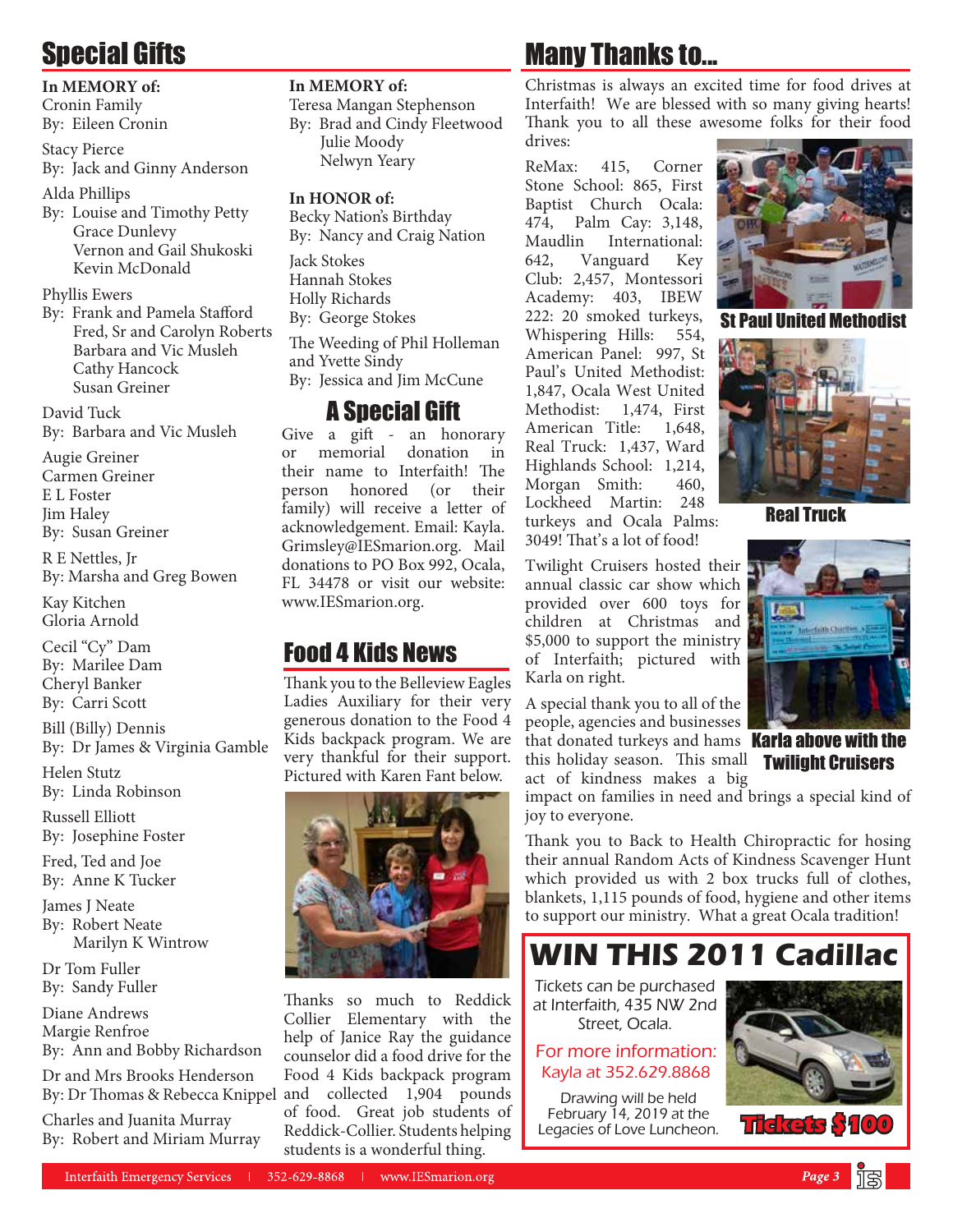# Special Gifts

#### **In MEMORY of:**

Cronin Family By: Eileen Cronin

Stacy Pierce By: Jack and Ginny Anderson

Alda Phillips

By: Louise and Timothy Petty Grace Dunlevy Vernon and Gail Shukoski Kevin McDonald

#### Phyllis Ewers

By: Frank and Pamela Stafford Fred, Sr and Carolyn Roberts Barbara and Vic Musleh Cathy Hancock Susan Greiner

David Tuck By: Barbara and Vic Musleh

Augie Greiner Carmen Greiner E L Foster Jim Haley By: Susan Greiner

R E Nettles, Jr By: Marsha and Greg Bowen

Kay Kitchen Gloria Arnold

Cecil "Cy" Dam By: Marilee Dam Cheryl Banker By: Carri Scott

Bill (Billy) Dennis By: Dr James & Virginia Gamble

Helen Stutz By: Linda Robinson

Russell Elliott By: Josephine Foster

Fred, Ted and Joe By: Anne K Tucker

James J Neate By: Robert Neate Marilyn K Wintrow

Dr Tom Fuller By: Sandy Fuller

Diane Andrews Margie Renfroe By: Ann and Bobby Richardson

Dr and Mrs Brooks Henderson By: Dr Thomas & Rebecca Knippel and collected 1,904 pounds

Charles and Juanita Murray By: Robert and Miriam Murray

### **In MEMORY of:**

Teresa Mangan Stephenson By: Brad and Cindy Fleetwood Julie Moody Nelwyn Yeary

#### **In HONOR of:**

Becky Nation's Birthday By: Nancy and Craig Nation Jack Stokes Hannah Stokes Holly Richards By: George Stokes The Weeding of Phil Holleman and Yvette Sindy

By: Jessica and Jim McCune

### A Special Gift

Give a gift - an honorary or memorial donation in their name to Interfaith! The person honored (or their family) will receive a letter of acknowledgement. Email: Kayla. Grimsley@IESmarion.org. Mail donations to PO Box 992, Ocala, FL 34478 or visit our website: www.IESmarion.org.

### Food 4 Kids News

Thank you to the Belleview Eagles Ladies Auxiliary for their very generous donation to the Food 4 Kids backpack program. We are very thankful for their support. Pictured with Karen Fant below.



Thanks so much to Reddick Collier Elementary with the help of Janice Ray the guidance counselor did a food drive for the Food 4 Kids backpack program of food. Great job students of Reddick-Collier. Students helping students is a wonderful thing.

# Many Thanks to...

Christmas is always an excited time for food drives at Interfaith! We are blessed with so many giving hearts! Thank you to all these awesome folks for their food drives:

ReMax: 415, Corner Stone School: 865, First Baptist Church Ocala: 474, Palm Cay: 3,148, Maudlin International: 642, Vanguard Key Club: 2,457, Montessori Academy: 403, IBEW 222: 20 smoked turkeys, Whispering Hills: 554, American Panel: 997, St Paul's United Methodist: 1,847, Ocala West United Methodist: 1,474, First American Title: 1,648, Real Truck: 1,437, Ward Highlands School: 1,214, Morgan Smith: 460, Lockheed Martin: 248 turkeys and Ocala Palms: 3049! That's a lot of food!



St Paul United Methodist



Real Truck



A special thank you to all of the people, agencies and businesses that donated turkeys and hams **Karla above with the** this holiday season. This small **Twilight Cruisers** act of kindness makes a big

impact on families in need and brings a special kind of joy to everyone.

Thank you to Back to Health Chiropractic for hosing their annual Random Acts of Kindness Scavenger Hunt which provided us with 2 box trucks full of clothes, blankets, 1,115 pounds of food, hygiene and other items to support our ministry. What a great Ocala tradition!

**WIN THIS 2011 Cadillac**

Tickets can be purchased at Interfaith, 435 NW 2nd Street, Ocala.

For more information: Kayla at 352.629.8868

Drawing will be held February 14, 2019 at the **Legacies of Love Luncheon.** The **Research \$10**